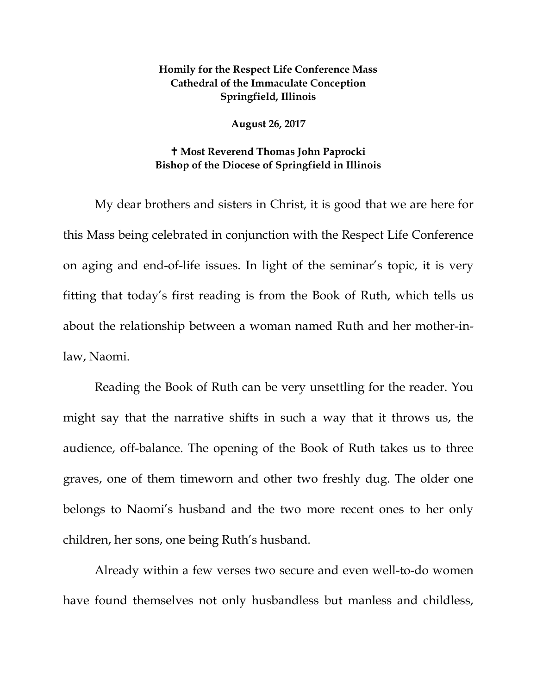## **Homily for the Respect Life Conference Mass Cathedral of the Immaculate Conception Springfield, Illinois**

## **August 26, 2017**

## **Most Reverend Thomas John Paprocki Bishop of the Diocese of Springfield in Illinois**

My dear brothers and sisters in Christ, it is good that we are here for this Mass being celebrated in conjunction with the Respect Life Conference on aging and end-of-life issues. In light of the seminar's topic, it is very fitting that today's first reading is from the Book of Ruth, which tells us about the relationship between a woman named Ruth and her mother-inlaw, Naomi.

Reading the Book of Ruth can be very unsettling for the reader. You might say that the narrative shifts in such a way that it throws us, the audience, off-balance. The opening of the Book of Ruth takes us to three graves, one of them timeworn and other two freshly dug. The older one belongs to Naomi's husband and the two more recent ones to her only children, her sons, one being Ruth's husband.

Already within a few verses two secure and even well-to-do women have found themselves not only husbandless but manless and childless,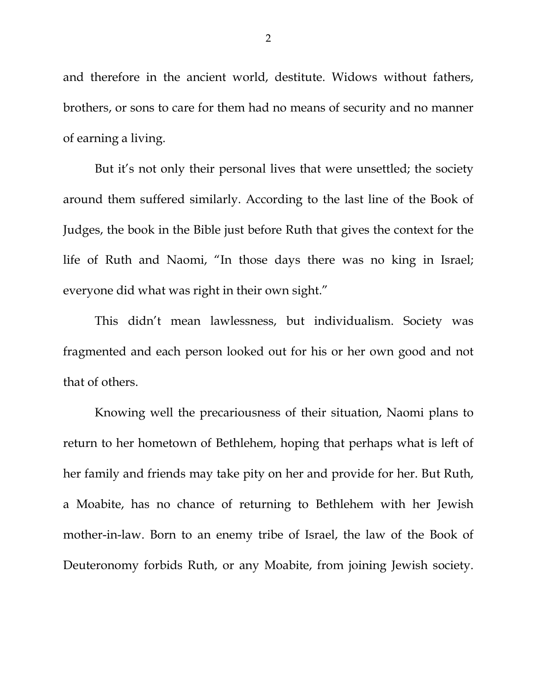and therefore in the ancient world, destitute. Widows without fathers, brothers, or sons to care for them had no means of security and no manner of earning a living.

But it's not only their personal lives that were unsettled; the society around them suffered similarly. According to the last line of the Book of Judges, the book in the Bible just before Ruth that gives the context for the life of Ruth and Naomi, "In those days there was no king in Israel; everyone did what was right in their own sight."

This didn't mean lawlessness, but individualism. Society was fragmented and each person looked out for his or her own good and not that of others.

Knowing well the precariousness of their situation, Naomi plans to return to her hometown of Bethlehem, hoping that perhaps what is left of her family and friends may take pity on her and provide for her. But Ruth, a Moabite, has no chance of returning to Bethlehem with her Jewish mother-in-law. Born to an enemy tribe of Israel, the law of the Book of Deuteronomy forbids Ruth, or any Moabite, from joining Jewish society.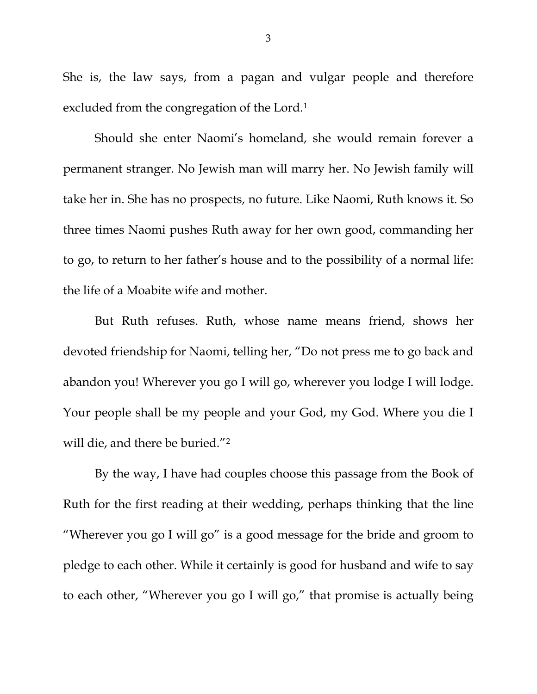She is, the law says, from a pagan and vulgar people and therefore excluded from the congregation of the Lord.[1](#page-6-0)

Should she enter Naomi's homeland, she would remain forever a permanent stranger. No Jewish man will marry her. No Jewish family will take her in. She has no prospects, no future. Like Naomi, Ruth knows it. So three times Naomi pushes Ruth away for her own good, commanding her to go, to return to her father's house and to the possibility of a normal life: the life of a Moabite wife and mother.

But Ruth refuses. Ruth, whose name means friend, shows her devoted friendship for Naomi, telling her, "Do not press me to go back and abandon you! Wherever you go I will go, wherever you lodge I will lodge. Your people shall be my people and your God, my God. Where you die I will die, and there be buried."<sup>[2](#page-6-1)</sup>

By the way, I have had couples choose this passage from the Book of Ruth for the first reading at their wedding, perhaps thinking that the line "Wherever you go I will go" is a good message for the bride and groom to pledge to each other. While it certainly is good for husband and wife to say to each other, "Wherever you go I will go," that promise is actually being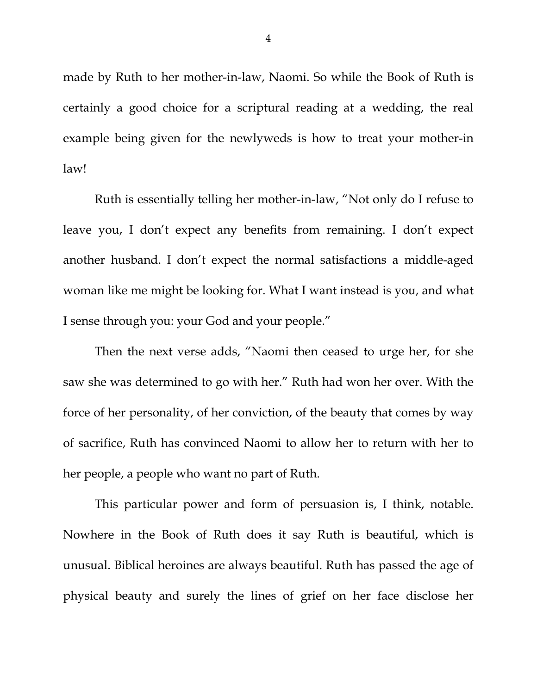made by Ruth to her mother-in-law, Naomi. So while the Book of Ruth is certainly a good choice for a scriptural reading at a wedding, the real example being given for the newlyweds is how to treat your mother-in law!

Ruth is essentially telling her mother-in-law, "Not only do I refuse to leave you, I don't expect any benefits from remaining. I don't expect another husband. I don't expect the normal satisfactions a middle-aged woman like me might be looking for. What I want instead is you, and what I sense through you: your God and your people."

Then the next verse adds, "Naomi then ceased to urge her, for she saw she was determined to go with her." Ruth had won her over. With the force of her personality, of her conviction, of the beauty that comes by way of sacrifice, Ruth has convinced Naomi to allow her to return with her to her people, a people who want no part of Ruth.

This particular power and form of persuasion is, I think, notable. Nowhere in the Book of Ruth does it say Ruth is beautiful, which is unusual. Biblical heroines are always beautiful. Ruth has passed the age of physical beauty and surely the lines of grief on her face disclose her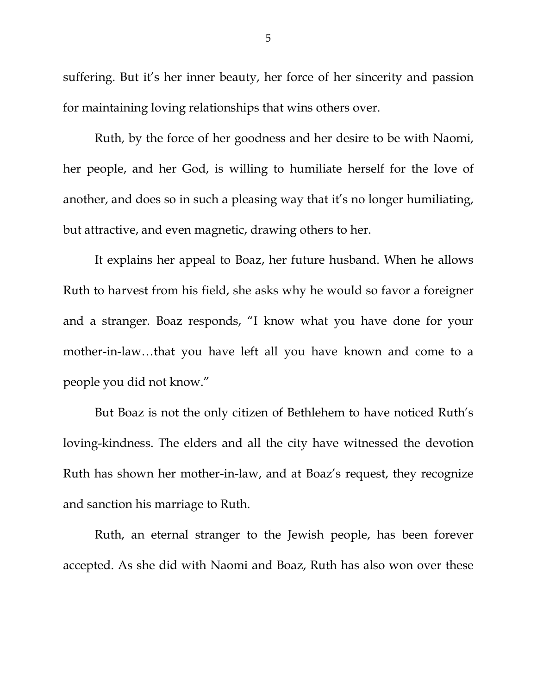suffering. But it's her inner beauty, her force of her sincerity and passion for maintaining loving relationships that wins others over.

Ruth, by the force of her goodness and her desire to be with Naomi, her people, and her God, is willing to humiliate herself for the love of another, and does so in such a pleasing way that it's no longer humiliating, but attractive, and even magnetic, drawing others to her.

It explains her appeal to Boaz, her future husband. When he allows Ruth to harvest from his field, she asks why he would so favor a foreigner and a stranger. Boaz responds, "I know what you have done for your mother-in-law…that you have left all you have known and come to a people you did not know."

But Boaz is not the only citizen of Bethlehem to have noticed Ruth's loving-kindness. The elders and all the city have witnessed the devotion Ruth has shown her mother-in-law, and at Boaz's request, they recognize and sanction his marriage to Ruth.

Ruth, an eternal stranger to the Jewish people, has been forever accepted. As she did with Naomi and Boaz, Ruth has also won over these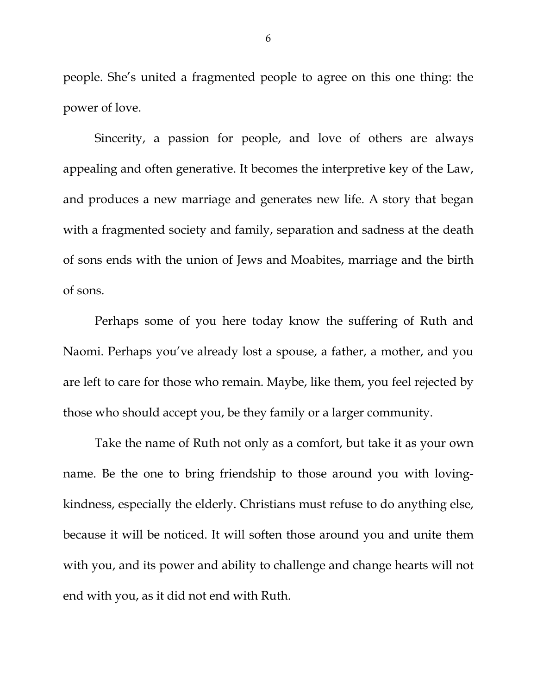people. She's united a fragmented people to agree on this one thing: the power of love.

Sincerity, a passion for people, and love of others are always appealing and often generative. It becomes the interpretive key of the Law, and produces a new marriage and generates new life. A story that began with a fragmented society and family, separation and sadness at the death of sons ends with the union of Jews and Moabites, marriage and the birth of sons.

Perhaps some of you here today know the suffering of Ruth and Naomi. Perhaps you've already lost a spouse, a father, a mother, and you are left to care for those who remain. Maybe, like them, you feel rejected by those who should accept you, be they family or a larger community.

Take the name of Ruth not only as a comfort, but take it as your own name. Be the one to bring friendship to those around you with lovingkindness, especially the elderly. Christians must refuse to do anything else, because it will be noticed. It will soften those around you and unite them with you, and its power and ability to challenge and change hearts will not end with you, as it did not end with Ruth.